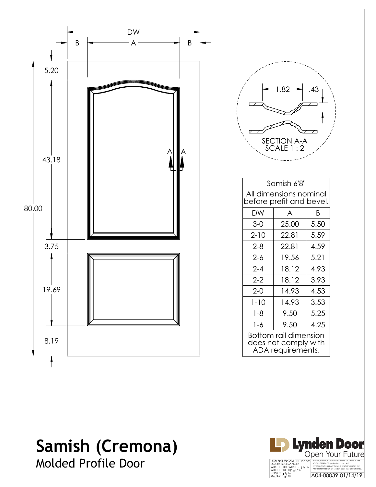

| 1.82                       | 43 |  |
|----------------------------|----|--|
|                            |    |  |
| SECTION A-A<br>SCALE 1 : 2 |    |  |

| Samish 6'8"                                                        |               |      |  |
|--------------------------------------------------------------------|---------------|------|--|
| All dimensions nominal<br>before prefit and bevel.                 |               |      |  |
| DW                                                                 | A<br>B        |      |  |
| $3 - 0$                                                            | 25.00         | 5.50 |  |
| $2 - 10$                                                           | 22.81         | 5.59 |  |
| $2 - 8$                                                            | 22.81         | 4.59 |  |
| $2 - 6$                                                            | 19.56         | 5.21 |  |
| $2 - 4$                                                            | 18.12         | 4.93 |  |
| $2-2$                                                              | 18.12         | 3.93 |  |
| $2 - 0$                                                            | 4.53<br>14.93 |      |  |
| $1 - 10$                                                           | 14.93         | 3.53 |  |
| $1 - 8$                                                            | 9.50          | 5.25 |  |
| $1 - 6$                                                            | 9.50          | 4.25 |  |
| Bottom rail dimension<br>does not comply with<br>ADA requirements. |               |      |  |

## **Samish (Cremona)** Molded Profile Door

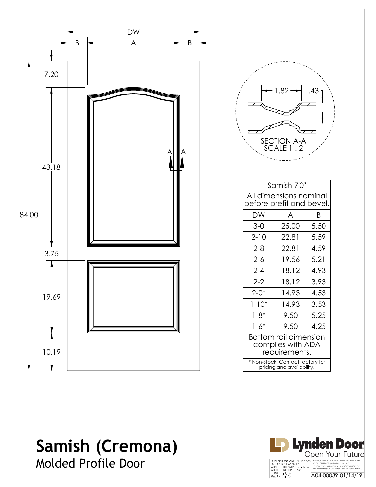

| 1.82                            | .43 |  |
|---------------------------------|-----|--|
| <b>SECTION A-A</b><br>SCALE 1:2 |     |  |
|                                 |     |  |

| Samish 7'0"                                                   |        |      |  |
|---------------------------------------------------------------|--------|------|--|
| All dimensions nominal<br>before prefit and bevel.            |        |      |  |
| DW                                                            | Β<br>A |      |  |
| $3-0$                                                         | 25.00  | 5.50 |  |
| $2 - 10$                                                      | 22.81  | 5.59 |  |
| $2 - 8$                                                       | 22.81  | 4.59 |  |
| $2 - 6$                                                       | 19.56  | 5.21 |  |
| $2 - 4$                                                       | 18.12  | 4.93 |  |
| $2 - 2$                                                       | 18.12  | 3.93 |  |
| $2 - 0*$                                                      | 14.93  | 4.53 |  |
| $1 - 10*$                                                     | 14.93  | 3.53 |  |
| $1 - 8*$                                                      | 9.50   | 5.25 |  |
| $1 - 6*$                                                      | 9.50   | 4.25 |  |
| Bottom rail dimension<br>complies with ADA<br>requirements.   |        |      |  |
| * Non-Stock, Contact factory for<br>pricing and availability. |        |      |  |

## **Samish (Cremona)**



Molded Profile Door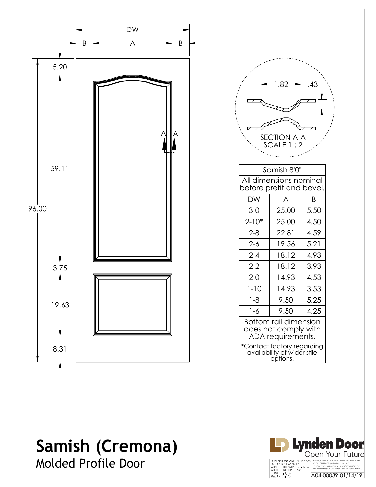

|                                                                           | 1.82<br>SECTION A-A<br>SCALE 1 : 2                 | .43  |  |
|---------------------------------------------------------------------------|----------------------------------------------------|------|--|
|                                                                           | Samish 8'0"                                        |      |  |
|                                                                           | All dimensions nominal<br>before prefit and bevel. |      |  |
| <b>DW</b>                                                                 | A                                                  | B    |  |
| $3-0$                                                                     | 25.00                                              | 5.50 |  |
| $2 - 10*$                                                                 | 25.00                                              | 4.50 |  |
| $2 - 8$                                                                   | 22.81                                              | 4.59 |  |
| $2 - 6$                                                                   | 19.56                                              | 5.21 |  |
| $2 - 4$                                                                   | 18.12                                              | 4.93 |  |
| $2 - 2$                                                                   | 18.12                                              | 3.93 |  |
| $2 - 0$                                                                   | 14.93                                              | 4.53 |  |
| $1 - 10$                                                                  | 14.93                                              | 3.53 |  |
| $1 - 8$                                                                   | 9.50                                               | 5.25 |  |
| $1 - 6$                                                                   | 9.50                                               | 4.25 |  |
| <b>Bottom rail dimension</b><br>does not comply with<br>ADA requirements. |                                                    |      |  |
| *Contact factory regarding<br>availability of wider stile<br>options.     |                                                    |      |  |

## **Samish (Cremona)** Molded Profile Door